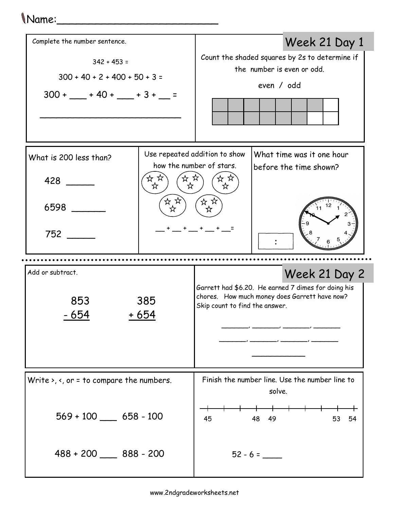## Name:\_\_\_\_\_\_\_\_\_\_\_\_\_\_\_\_\_\_\_\_\_\_\_\_\_

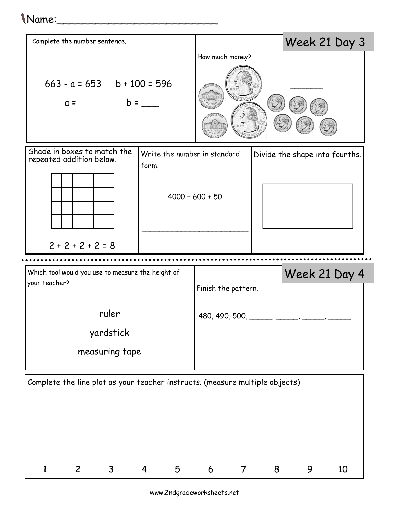## Name:\_\_\_\_\_\_\_\_\_\_\_\_\_\_\_\_\_\_\_\_\_\_\_\_\_



www.2ndgradeworksheets.net